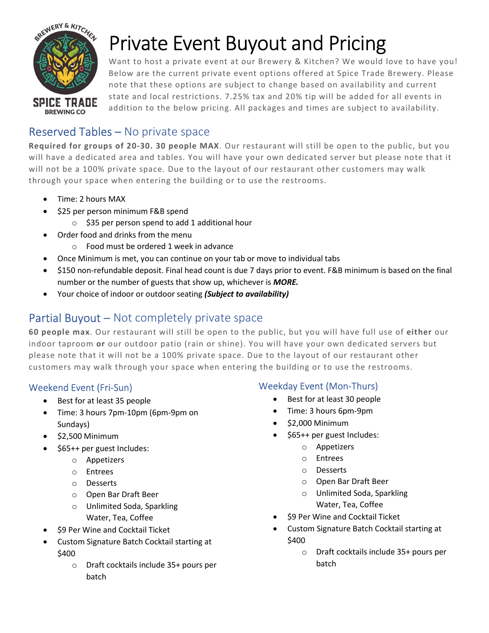

# Private Event Buyout and Pricing

Want to host a private event at our Brewery & Kitchen? We would love to have you! Below are the current private event options offered at Spice Trade Brewery. Please note that these options are subject to change based on availability and current state and local restrictions. 7.25% tax and 20% tip will be added for all events in addition to the below pricing. All packages and times are subject to availability.

# Reserved Tables – No private space

Required for groups of 20-30. 30 people MAX. Our restaurant will still be open to the public, but you will have a dedicated area and tables. You will have your own dedicated server but please note that it will not be a 100% private space. Due to the layout of our restaurant other customers may walk through your space when entering the building or to use the restrooms.

- Time: 2 hours MAX
- \$25 per person minimum F&B spend
	- o \$35 per person spend to add 1 additional hour
- Order food and drinks from the menu
	- o Food must be ordered 1 week in advance
- Once Minimum is met, you can continue on your tab or move to individual tabs
- \$150 non-refundable deposit. Final head count is due 7 days prior to event. F&B minimum is based on the final number or the number of guests that show up, whichever is **MORE.**
- Your choice of indoor or outdoor seating (Subject to availability)

# Partial Buyout – Not completely private space

60 people max. Our restaurant will still be open to the public, but you will have full use of either our indoor taproom or our outdoor patio (rain or shine). You will have your own dedicated servers but please note that it will not be a 100% private space. Due to the layout of our restaurant other customers may walk through your space when entering the building or to use the restrooms.

### Weekend Event (Fri-Sun)

- Best for at least 35 people
- Time: 3 hours 7pm-10pm (6pm-9pm on Sundays)
- $\bullet$  \$2,500 Minimum
- \$65++ per guest Includes:
	- o Appetizers
	- o Entrees
	- o Desserts
	- o Open Bar Draft Beer
	- o Unlimited Soda, Sparkling Water, Tea, Coffee
- \$9 Per Wine and Cocktail Ticket
- Custom Signature Batch Cocktail starting at \$400
	- o Draft cocktails include 35+ pours per batch

### Weekday Event (Mon-Thurs)

- Best for at least 30 people
- Time: 3 hours 6pm-9pm
- $\bullet$  \$2,000 Minimum
- \$65++ per guest Includes:
	- o Appetizers
	- o Entrees
	- o Desserts
	- o Open Bar Draft Beer
	- o Unlimited Soda, Sparkling Water, Tea, Coffee
- \$9 Per Wine and Cocktail Ticket
- Custom Signature Batch Cocktail starting at \$400
	- o Draft cocktails include 35+ pours per batch